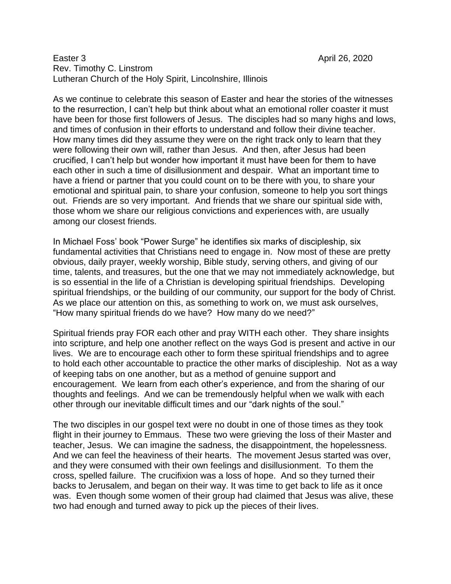## Easter 3 April 26, 2020 Rev. Timothy C. Linstrom Lutheran Church of the Holy Spirit, Lincolnshire, Illinois

As we continue to celebrate this season of Easter and hear the stories of the witnesses to the resurrection, I can't help but think about what an emotional roller coaster it must have been for those first followers of Jesus. The disciples had so many highs and lows, and times of confusion in their efforts to understand and follow their divine teacher. How many times did they assume they were on the right track only to learn that they were following their own will, rather than Jesus. And then, after Jesus had been crucified, I can't help but wonder how important it must have been for them to have each other in such a time of disillusionment and despair. What an important time to have a friend or partner that you could count on to be there with you, to share your emotional and spiritual pain, to share your confusion, someone to help you sort things out. Friends are so very important. And friends that we share our spiritual side with, those whom we share our religious convictions and experiences with, are usually among our closest friends.

In Michael Foss' book "Power Surge" he identifies six marks of discipleship, six fundamental activities that Christians need to engage in. Now most of these are pretty obvious, daily prayer, weekly worship, Bible study, serving others, and giving of our time, talents, and treasures, but the one that we may not immediately acknowledge, but is so essential in the life of a Christian is developing spiritual friendships. Developing spiritual friendships, or the building of our community, our support for the body of Christ. As we place our attention on this, as something to work on, we must ask ourselves, "How many spiritual friends do we have? How many do we need?"

Spiritual friends pray FOR each other and pray WITH each other. They share insights into scripture, and help one another reflect on the ways God is present and active in our lives. We are to encourage each other to form these spiritual friendships and to agree to hold each other accountable to practice the other marks of discipleship. Not as a way of keeping tabs on one another, but as a method of genuine support and encouragement. We learn from each other's experience, and from the sharing of our thoughts and feelings. And we can be tremendously helpful when we walk with each other through our inevitable difficult times and our "dark nights of the soul."

The two disciples in our gospel text were no doubt in one of those times as they took flight in their journey to Emmaus. These two were grieving the loss of their Master and teacher, Jesus. We can imagine the sadness, the disappointment, the hopelessness. And we can feel the heaviness of their hearts. The movement Jesus started was over, and they were consumed with their own feelings and disillusionment. To them the cross, spelled failure. The crucifixion was a loss of hope. And so they turned their backs to Jerusalem, and began on their way. It was time to get back to life as it once was. Even though some women of their group had claimed that Jesus was alive, these two had enough and turned away to pick up the pieces of their lives.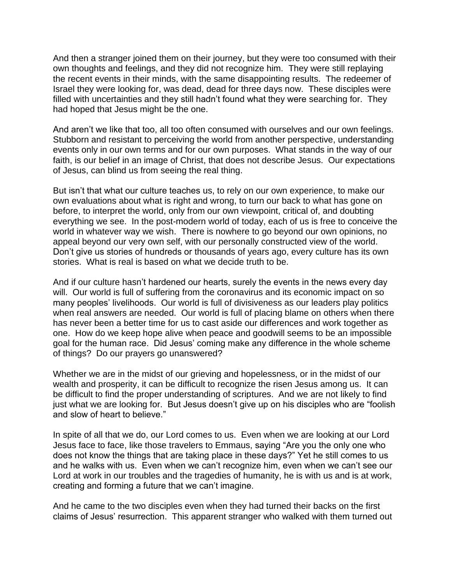And then a stranger joined them on their journey, but they were too consumed with their own thoughts and feelings, and they did not recognize him. They were still replaying the recent events in their minds, with the same disappointing results. The redeemer of Israel they were looking for, was dead, dead for three days now. These disciples were filled with uncertainties and they still hadn't found what they were searching for. They had hoped that Jesus might be the one.

And aren't we like that too, all too often consumed with ourselves and our own feelings. Stubborn and resistant to perceiving the world from another perspective, understanding events only in our own terms and for our own purposes. What stands in the way of our faith, is our belief in an image of Christ, that does not describe Jesus. Our expectations of Jesus, can blind us from seeing the real thing.

But isn't that what our culture teaches us, to rely on our own experience, to make our own evaluations about what is right and wrong, to turn our back to what has gone on before, to interpret the world, only from our own viewpoint, critical of, and doubting everything we see. In the post-modern world of today, each of us is free to conceive the world in whatever way we wish. There is nowhere to go beyond our own opinions, no appeal beyond our very own self, with our personally constructed view of the world. Don't give us stories of hundreds or thousands of years ago, every culture has its own stories. What is real is based on what we decide truth to be.

And if our culture hasn't hardened our hearts, surely the events in the news every day will. Our world is full of suffering from the coronavirus and its economic impact on so many peoples' livelihoods. Our world is full of divisiveness as our leaders play politics when real answers are needed. Our world is full of placing blame on others when there has never been a better time for us to cast aside our differences and work together as one. How do we keep hope alive when peace and goodwill seems to be an impossible goal for the human race. Did Jesus' coming make any difference in the whole scheme of things? Do our prayers go unanswered?

Whether we are in the midst of our grieving and hopelessness, or in the midst of our wealth and prosperity, it can be difficult to recognize the risen Jesus among us. It can be difficult to find the proper understanding of scriptures. And we are not likely to find just what we are looking for. But Jesus doesn't give up on his disciples who are "foolish and slow of heart to believe."

In spite of all that we do, our Lord comes to us. Even when we are looking at our Lord Jesus face to face, like those travelers to Emmaus, saying "Are you the only one who does not know the things that are taking place in these days?" Yet he still comes to us and he walks with us. Even when we can't recognize him, even when we can't see our Lord at work in our troubles and the tragedies of humanity, he is with us and is at work, creating and forming a future that we can't imagine.

And he came to the two disciples even when they had turned their backs on the first claims of Jesus' resurrection. This apparent stranger who walked with them turned out